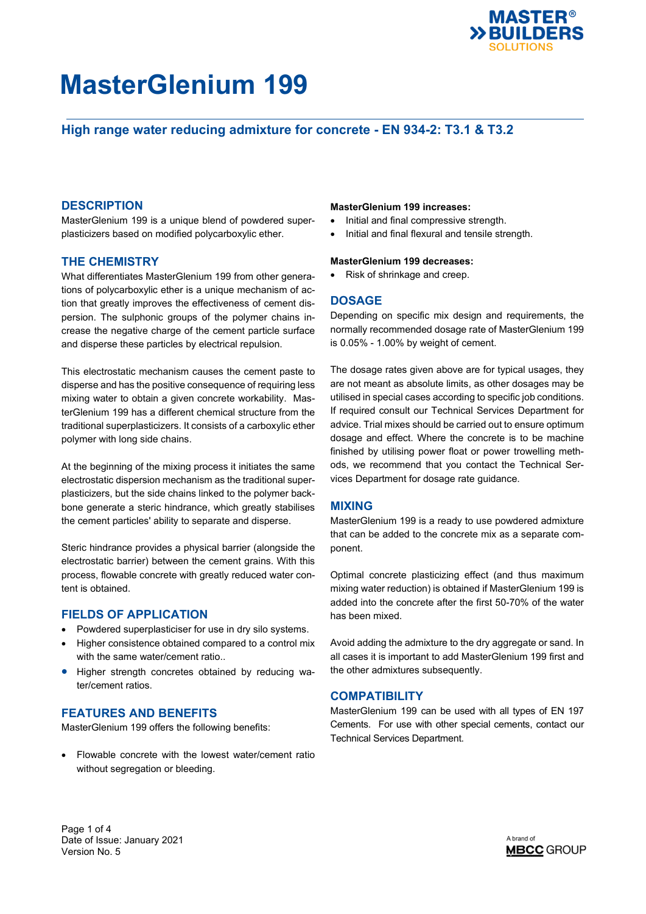

## **High range water reducing admixture for concrete - EN 934-2: T3.1 & T3.2**

## **DESCRIPTION**

MasterGlenium 199 is a unique blend of powdered superplasticizers based on modified polycarboxylic ether.

## **THE CHEMISTRY**

What differentiates MasterGlenium 199 from other generations of polycarboxylic ether is a unique mechanism of action that greatly improves the effectiveness of cement dispersion. The sulphonic groups of the polymer chains increase the negative charge of the cement particle surface and disperse these particles by electrical repulsion.

This electrostatic mechanism causes the cement paste to disperse and has the positive consequence of requiring less mixing water to obtain a given concrete workability. MasterGlenium 199 has a different chemical structure from the traditional superplasticizers. It consists of a carboxylic ether polymer with long side chains.

At the beginning of the mixing process it initiates the same electrostatic dispersion mechanism as the traditional superplasticizers, but the side chains linked to the polymer backbone generate a steric hindrance, which greatly stabilises the cement particles' ability to separate and disperse.

Steric hindrance provides a physical barrier (alongside the electrostatic barrier) between the cement grains. With this process, flowable concrete with greatly reduced water content is obtained.

## **FIELDS OF APPLICATION**

- Powdered superplasticiser for use in dry silo systems.
- Higher consistence obtained compared to a control mix with the same water/cement ratio..
- Higher strength concretes obtained by reducing water/cement ratios.

## **FEATURES AND BENEFITS**

MasterGlenium 199 offers the following benefits:

 Flowable concrete with the lowest water/cement ratio without segregation or bleeding.

### **MasterGlenium 199 increases:**

- Initial and final compressive strength.
- Initial and final flexural and tensile strength.

#### **MasterGlenium 199 decreases:**

• Risk of shrinkage and creep.

## **DOSAGE**

Depending on specific mix design and requirements, the normally recommended dosage rate of MasterGlenium 199 is 0.05% - 1.00% by weight of cement.

The dosage rates given above are for typical usages, they are not meant as absolute limits, as other dosages may be utilised in special cases according to specific job conditions. If required consult our Technical Services Department for advice. Trial mixes should be carried out to ensure optimum dosage and effect. Where the concrete is to be machine finished by utilising power float or power trowelling methods, we recommend that you contact the Technical Services Department for dosage rate guidance.

## **MIXING**

MasterGlenium 199 is a ready to use powdered admixture that can be added to the concrete mix as a separate component.

Optimal concrete plasticizing effect (and thus maximum mixing water reduction) is obtained if MasterGlenium 199 is added into the concrete after the first 50-70% of the water has been mixed.

Avoid adding the admixture to the dry aggregate or sand. In all cases it is important to add MasterGlenium 199 first and the other admixtures subsequently.

## **COMPATIBILITY**

MasterGlenium 199 can be used with all types of EN 197 Cements. For use with other special cements, contact our Technical Services Department.

Page 1 of 4 Date of Issue: January 2021 Version No. 5

A brand of **MBCC GROUP**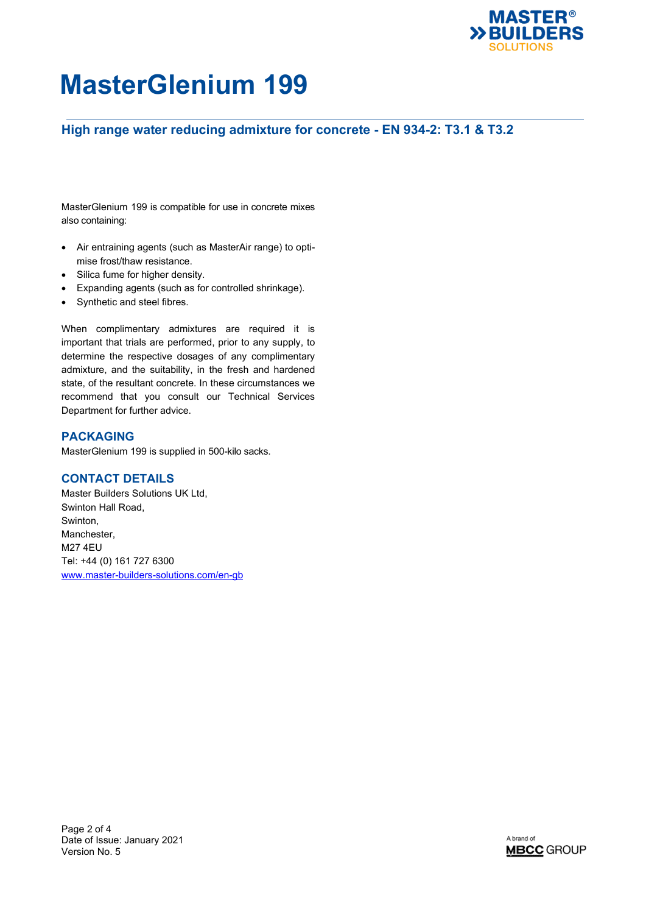

## **High range water reducing admixture for concrete - EN 934-2: T3.1 & T3.2**

MasterGlenium 199 is compatible for use in concrete mixes also containing:

- Air entraining agents (such as MasterAir range) to optimise frost/thaw resistance.
- Silica fume for higher density.
- Expanding agents (such as for controlled shrinkage).
- Synthetic and steel fibres.

When complimentary admixtures are required it is important that trials are performed, prior to any supply, to determine the respective dosages of any complimentary admixture, and the suitability, in the fresh and hardened state, of the resultant concrete. In these circumstances we recommend that you consult our Technical Services Department for further advice.

## **PACKAGING**

MasterGlenium 199 is supplied in 500-kilo sacks.

## **CONTACT DETAILS**

Master Builders Solutions UK Ltd, Swinton Hall Road, Swinton, Manchester, M27 4EU Tel: +44 (0) 161 727 6300 [www.master-builders-solutions.com/en-gb](http://www.master-builders-solutions.com/en-gb)

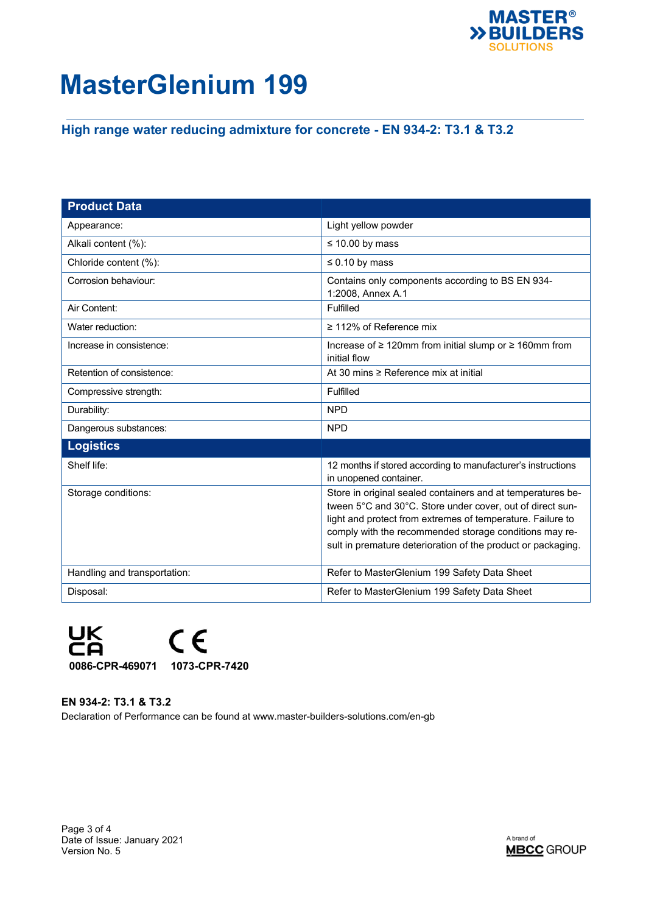

## **High range water reducing admixture for concrete - EN 934-2: T3.1 & T3.2**

| <b>Product Data</b>          |                                                                                                                                                                                                                                                                                                                  |
|------------------------------|------------------------------------------------------------------------------------------------------------------------------------------------------------------------------------------------------------------------------------------------------------------------------------------------------------------|
| Appearance:                  | Light yellow powder                                                                                                                                                                                                                                                                                              |
| Alkali content (%):          | $\leq$ 10.00 by mass                                                                                                                                                                                                                                                                                             |
| Chloride content (%):        | $\leq$ 0.10 by mass                                                                                                                                                                                                                                                                                              |
| Corrosion behaviour:         | Contains only components according to BS EN 934-<br>1:2008, Annex A.1                                                                                                                                                                                                                                            |
| Air Content:                 | Fulfilled                                                                                                                                                                                                                                                                                                        |
| Water reduction:             | $\geq$ 112% of Reference mix                                                                                                                                                                                                                                                                                     |
| Increase in consistence:     | Increase of ≥ 120mm from initial slump or ≥ 160mm from<br>initial flow                                                                                                                                                                                                                                           |
| Retention of consistence:    | At 30 mins $\geq$ Reference mix at initial                                                                                                                                                                                                                                                                       |
| Compressive strength:        | Fulfilled                                                                                                                                                                                                                                                                                                        |
| Durability:                  | <b>NPD</b>                                                                                                                                                                                                                                                                                                       |
| Dangerous substances:        | <b>NPD</b>                                                                                                                                                                                                                                                                                                       |
| <b>Logistics</b>             |                                                                                                                                                                                                                                                                                                                  |
| Shelf life:                  | 12 months if stored according to manufacturer's instructions<br>in unopened container.                                                                                                                                                                                                                           |
| Storage conditions:          | Store in original sealed containers and at temperatures be-<br>tween 5°C and 30°C. Store under cover, out of direct sun-<br>light and protect from extremes of temperature. Failure to<br>comply with the recommended storage conditions may re-<br>sult in premature deterioration of the product or packaging. |
| Handling and transportation: | Refer to MasterGlenium 199 Safety Data Sheet                                                                                                                                                                                                                                                                     |
| Disposal:                    | Refer to MasterGlenium 199 Safety Data Sheet                                                                                                                                                                                                                                                                     |



**EN 934-2: T3.1 & T3.2** Declaration of Performance can be found at www.master-builders-solutions.com/en-gb

Page 3 of 4 Date of Issue: January 2021 Version No. 5